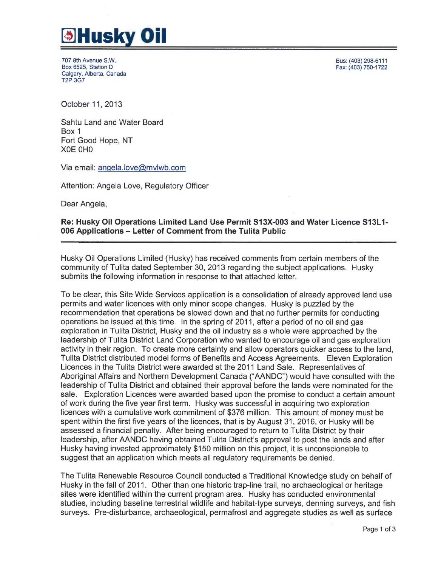

707 8th Avenue S.W. Box 6525, Station D Calgary, Alberta, Canada T2P 3G7

Bus: (403)298-6111 Fax: (403) 750-1722

October 11, 2013

Sahtu Land and Water Board Box 1 Fort Good Hope, NT XOE OHO

Via email: angela.love@mvlwb.com

Attention: Angela Love, Regulatory Officer

Dear Angela,

## Re: Husky Oil Operations Limited Land Use Permit S13X-003 and Water Licence S13L1- 006 Applications —Letter of Comment from the Tulita Public

Husky Oil Operations Limited (Husky) has received comments from certain members of the community of Tulita dated September 30, 2013 regarding the subject applications. Husky submits the following information in response to that attached letter.

To be clear, this Site Wide Services application is a consolidation of already approved land use permits and water licences with only minor scope changes. Husky is puzzled by the recommendation that operations be slowed down and that no further permits for conducting operations be issued at this time. In the spring of 2011, after a period of no oil and gas exploration in Tulita District, Husky and the oil industry as a whole were approached by the leadership of Tulita District Land Corporation who wanted to encourage oil and gas exploration activity in their region. To create more certainty and allow operators quicker access to the land, Tulita District distributed model forms of Benefits and Access Agreements. Eleven Exploration Licences in the Tulita District were awarded at the 2011 Land Sale. Representatives of Aboriginal Affairs and Northern Development Canada ("AANDC") would have consulted with the leadership of Tulita District and obtained their approval before the lands were nominated for the sale. Exploration Licences were awarded based upon the promise to conduct a certain amount of work during the five year first term. Husky was successful in acquiring two exploration licences with a cumulative work commitment of \$376 million. This amount of money must be spent within the first five years of the licences, that is by August 31, 2016, or Husky will be assessed a financial penalty. After being encouraged to return to Tulita District by their leadership, after AANDC having obtained Tulita District's approval to post the lands and after Husky having invested approximately \$150 million on this project, it is unconscionable to suggest that an application which meets all regulatory requirements be denied.

The Tulita Renewable Resource Council conducted a Traditional Knowledge study on behalf of Husky in the fall of 2011. Other than one historic trap-line trail, no archaeological or heritage sites were identified within the current program area. Husky has conducted environmental studies, including baseline terrestrial wildlife and habitat-type surveys, denning surveys, and fish surveys. Pre-disturbance, archaeological, permafrost and aggregate studies as well as surface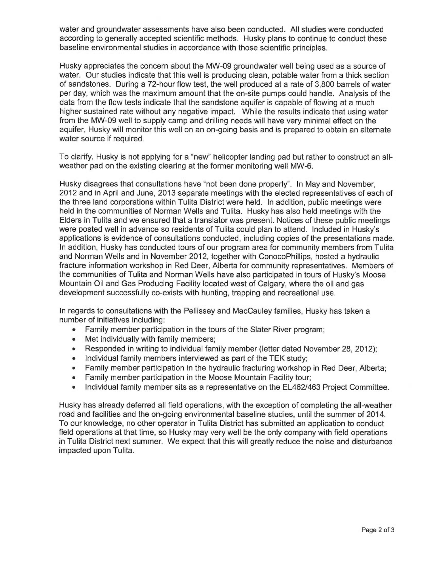water and groundwater assessments have also been conducted. All studies were conducted according to generally accepted scientific methods. Husky plans to continue to conduct these baseline environmental studies in accordance with those scientific principles.

Husky appreciates the concern about the MW-09 groundwater well being used as a source of water. Our studies indicate that this well is producing clean, potable water from a thick section of sandstones. During a 72-hour flow test, the well produced at a rate of 3,800 barrels of water per day, which was the maximum amount that the on-site pumps could handle. Analysis of the data from the flow tests indicate that the sandstone aquifer is capable of flowing at a much higher sustained rate without any negative impact. While the results indicate that using water from the MW-09 well to supply camp and drilling needs will have very minimal effect on the aquifer, Husky will monitor this well on an on-going basis and is prepared to obtain an alternate water source if required.

To clarify, Husky is not applying fora "new" helicopter landing pad but rather to construct an allweather pad on the existing clearing at the former monitoring well MW-6.

Husky disagrees that consultations have "not been done properly". In May and November, 2012 and in April and June, 2013 separate meetings with the elected representatives of each of the three land corporations within Tulita District were held. In addition, public meetings were held in the communities of Norman Wells and Tulita. Husky has also held meetings with the Elders in Tulita and we ensured that a translator was present. Notices of these public meetings were posted well in advance so residents of Tulita could plan to attend. Included in Husky's applications is evidence of consultations conducted, including copies of the presentations made. In addition, Husky has conducted tours of our program area for community members from Tulita and Norman Wells and in November 2012, together with ConocoPhillips, hosted a hydraulic fracture information workshop in Red Deer, Alberta for community representatives. Members of the communities of Tulita and Norman Wells have also participated in tours of Husky's Moose Mountain Oil and Gas Producing Facility located west of Calgary, where the oil and gas development successfully co-exists with hunting, trapping and recreational use.

In regards to consultations with the Pellissey and MacCauley families, Husky has taken a number of initiatives including:

- Family member participation in the tours of the Slater River program;
- Met individually with family members;
- Responded in writing to individual family member (letter dated November 28, 2012);
- Individual family members interviewed as part of the TEK study;
- Family member participation in the hydraulic fracturing workshop in Red Deer, Alberta;
- Family member participation in the Moose Mountain Facility tour;
- Individual family member sits as a representative on the EL462/463 Project Committee.

Husky has already deferred all field operations, with the exception of completing the all-weather road and facilities and the on-going environmental baseline studies, until the summer of 2014. To our knowledge, no other operator in Tulita District has submitted an application to conduct field operations at that time, so Husky may very well be the only company with field operations in Tulita District next summer. We expect that this will greatly reduce the noise and disturbance impacted upon Tulita.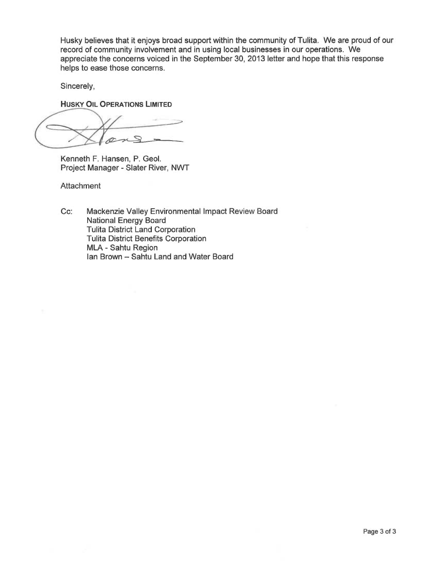Husky believes that it enjoys broad support within the community of Tulita. We are proud of our record of community involvement and in using local businesses in our operations. We appreciate the concerns voiced in the September 30, 2013 letter and hope that this response helps to ease those concerns.

Sincerely,

HUSKY OIL OPERATIONS LIMITED

~'  $\sqrt{2}$ 

Kenneth F. Hansen, P. Geol. Project Manager - Slater River, NWT

**Attachment** 

Cc: Mackenzie Valley Environmental Impact Review Board National Energy Board Tulita District Land Corporation Tulita District Benefits Corporation MLA - Sahtu Region Ian Brown — Sahtu Land and Water Board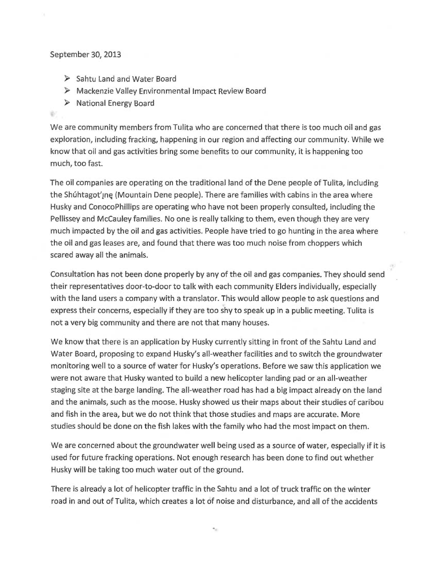## September 30, 2013

- ➢ Sahtu Land and Wafer Board
- $\triangleright$  Mackenzie Valley Environmental Impact Review Board
- $\triangleright$  National Energy Board

## ÷.

We are community members from Tulita who are concerned that there is too much oil and gas exploration, including fracking, happening in our region and affecting our community. While we know that oil and gas activities bring some benefits to our community, it is happening too much, too fast.

The oil companies are operating on the traditional land of the Dene people of Tulita, including the Shuntagot' ne (Mountain Dene people). There are families with cabins in the area where Husky and ConocoPhiliips are operating who have not been properly consulted, including the Pellissey and McCauley families. No one is really talking to them, even though they are very much impacted by the oii and gas activities. People have tried to go hunting in the area where the oil and gas leases are, and found that there was too much noise from choppers which scared away all the animals.

Consultation has not been done properly by any of the ail and gas companies. They should send their representatives door-to-door to talk with each community Elders individually, especially with the land users a company with a translator. This would allow people to ask questions and express their concerns, especially if they are too shy to speak up in a public meeting. Tulita is not a very big community and there are not that many houses.

We know that there is an application by Husky currently sitting in front of the Sahtu Land and Water Board, proposing to expand Husky's al!-weather facilities and to switch the groundwater manifioring well to a source of water for Husky's operations. Before we saw this application we were not aware that Husky wanted to build a new helicopter landing pad or an all-weather staging site at the barge landing. The all-weather road has had a big impact already on the land and the animals, such as the moose. Husky showed us their maps about their studies of caribou and fish in the area, but we do not think that those studies and maps are accurate. More studies should be done on the fish lakes with the family who had the most impact on them.

We are concerned about the groundwater well being used as a source of water, especially if it is used for future fracking operations. Not enough research has been done to find out whether Husky will be taking too much water out of the ground.

There is already a lot of helicopter traffic in the Sahtu and a lot of truck traffic on the winter road in and out of Tulita, which creates a lot of noise and disturbance, and all of the accidents